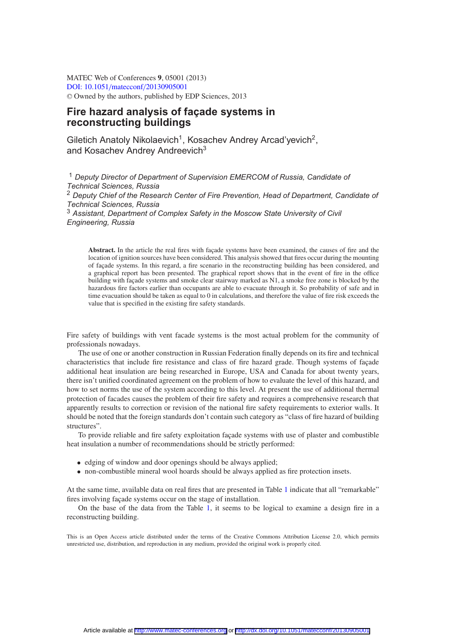MATEC Web of Conferences **9**, 05001 (2013) [DOI: 10.1051](http://dx.doi.org/10.1051/matecconf/20130905001)/matecconf/20130905001 <sup>C</sup> Owned by the authors, published by EDP Sciences, 2013

# **Fire hazard analysis of façade systems in reconstructing buildings**

Giletich Anatoly Nikolaevich<sup>1</sup>, Kosachev Andrey Arcad'yevich<sup>2</sup>, and Kosachev Andrey Andreevich<sup>3</sup>

<sup>1</sup> *Deputy Director of Department of Supervision EMERCOM of Russia, Candidate of Technical Sciences, Russia* <sup>2</sup> *Deputy Chief of the Research Center of Fire Prevention, Head of Department, Candidate of Technical Sciences, Russia* <sup>3</sup> *Assistant, Department of Complex Safety in the Moscow State University of Civil Engineering, Russia*

**Abstract.** In the article the real fires with façade systems have been examined, the causes of fire and the location of ignition sources have been considered. This analysis showed that fires occur during the mounting of façade systems. In this regard, a fire scenario in the reconstructing building has been considered, and a graphical report has been presented. The graphical report shows that in the event of fire in the office building with façade systems and smoke clear stairway marked as N1, a smoke free zone is blocked by the hazardous fire factors earlier than occupants are able to evacuate through it. So probability of safe and in time evacuation should be taken as equal to 0 in calculations, and therefore the value of fire risk exceeds the value that is specified in the existing fire safety standards.

Fire safety of buildings with vent facade systems is the most actual problem for the community of professionals nowadays.

The use of one or another construction in Russian Federation finally depends on its fire and technical characteristics that include fire resistance and class of fire hazard grade. Though systems of façade additional heat insulation are being researched in Europe, USA and Canada for about twenty years, there isn't unified coordinated agreement on the problem of how to evaluate the level of this hazard, and how to set norms the use of the system according to this level. At present the use of additional thermal protection of facades causes the problem of their fire safety and requires a comprehensive research that apparently results to correction or revision of the national fire safety requirements to exterior walls. It should be noted that the foreign standards don't contain such category as "class of fire hazard of building structures".

To provide reliable and fire safety exploitation façade systems with use of plaster and combustible heat insulation a number of recommendations should be strictly performed:

- edging of window and door openings should be always applied;
- non-combustible mineral wool hoards should be always applied as fire protection insets.

At the same time, available data on real fires that are presented in Table [1](#page-1-0) indicate that all "remarkable" fires involving façade systems occur on the stage of installation.

On the base of the data from the Table [1,](#page-1-0) it seems to be logical to examine a design fire in a reconstructing building.

This is an Open Access article distributed under the terms of the Creative Commons Attribution License 2.0, which permits unrestricted use, distribution, and reproduction in any medium, provided the original work is properly cited.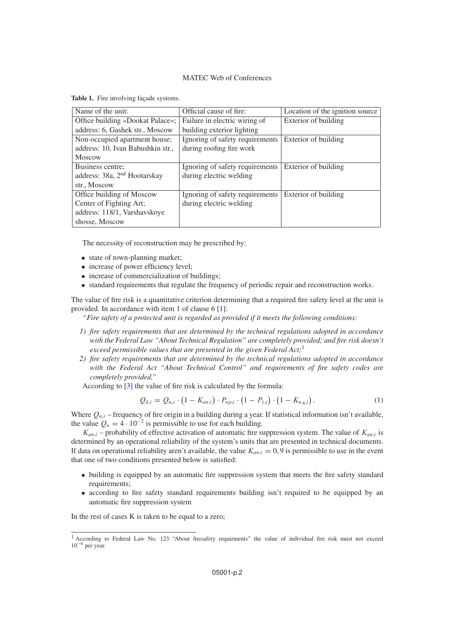## MATEC Web of Conferences

| Name of the unit:                        | Official cause of fire:         | Location of the ignition source |
|------------------------------------------|---------------------------------|---------------------------------|
| Office building «Dookat Palace»;         | Failure in electric wiring of   | Exterior of building            |
| address: 6, Gashek str., Moscow          | building exterior lighting      |                                 |
| Non-occupied apartment house;            | Ignoring of safety requirements | Exterior of building            |
| address: 10, Ivan Babushkin str.,        | during roofing fire work        |                                 |
| <b>Moscow</b>                            |                                 |                                 |
| Business centre;                         | Ignoring of safety requirements | Exterior of building            |
| address: 38a, 2 <sup>nd</sup> Hootarskay | during electric welding         |                                 |
| str., Moscow                             |                                 |                                 |
| Office building of Moscow                | Ignoring of safety requirements | Exterior of building            |
| Center of Fighting Art;                  | during electric welding         |                                 |
| address: 118/1, Varshavskoye             |                                 |                                 |
| shosse, Moscow                           |                                 |                                 |

<span id="page-1-0"></span>**Table 1.** Fire involving façade systems.

The necessity of reconstruction may be prescribed by:

- state of town-planning market;
- increase of power efficiency level;
- increase of commercialization of buildings;
- standard requirements that regulate the frequency of periodic repair and reconstruction works.

The value of fire risk is a quantitative criterion determining that a required fire safety level at the unit is provided. In accordance with item 1 of clause 6 [\[1\]](#page-4-0):

*"Fire safety of a protected unit is regarded as provided if it meets the following conditions:*

- *1) fire safety requirements that are determined by the technical regulations adopted in accordance with the Federal Law "About Technical Regulation" are completely provided; and fire risk doesn't exceed permissible values that are presented in the given Federal Act;*<sup>1</sup>
- *2) fire safety requirements that are determined by the technical regulations adopted in accordance with the Federal Act "About Technical Control" and requirements of fire safety codes are completely provided."*

According to [\[3\]](#page-4-1) the value of fire risk is calculated by the formula:

$$
Q_{\hat{a},i} = Q_{n,i} \cdot (1 - K_{an,i}) \cdot P_{np,i} \cdot (1 - P_{\hat{y},i}) \cdot (1 - K_{n,\hat{y},i}). \tag{1}
$$

Where  $Q_{n,i}$  – frequency of fire origin in a building during a year. If statistical information isn't available, the value  $Q_n = 4 \cdot 10^{-2}$  is permissible to use for each building.

 $K_{an,i}$  – probability of effective activation of automatic fire suppression system. The value of  $K_{an,i}$  is determined by an operational reliability of the system's units that are presented in technical documents. If data on operational reliability aren't available, the value  $K_{an,i} = 0,9$  is permissible to use in the event that one of two conditions presented below is satisfied:

- building is equipped by an automatic fire suppression system that meets the fire safety standard requirements;
- according to fire safety standard requirements building isn't required to be equipped by an automatic fire suppression system

In the rest of cases K is taken to be equal to a zero;

<sup>&</sup>lt;sup>1</sup> According to Federal Law No. 123 "About firesafety requirments" the value of individual fire risk must not exceed 10−<sup>6</sup> per year.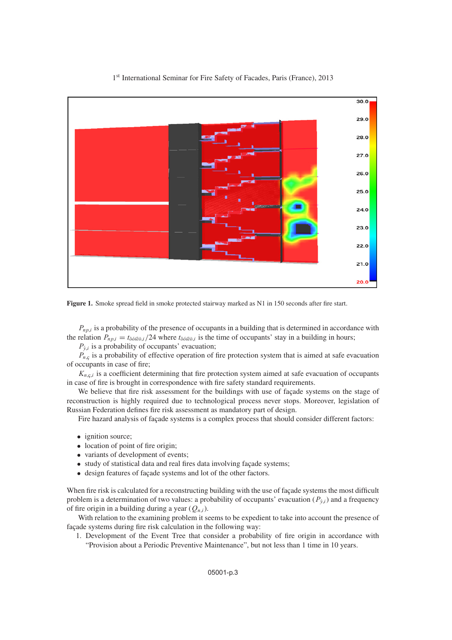<span id="page-2-0"></span>

## 1<sup>st</sup> International Seminar for Fire Safety of Facades, Paris (France), 2013

**Figure 1.** Smoke spread field in smoke protected stairway marked as N1 in 150 seconds after fire start.

 $P_{np,i}$  is a probability of the presence of occupants in a building that is determined in accordance with the relation  $P_{np,i} = t_{\delta\delta\hat{i}\hat{e}\delta,i}/24$  where  $t_{\delta\delta\hat{i}\hat{e}\delta,i}$  is the time of occupants' stay in a building in hours;

 $P_{\hat{v},i}$  is a probability of occupants' evacuation;

 $P_{n,c}$  is a probability of effective operation of fire protection system that is aimed at safe evacuation of occupants in case of fire;

 $K_{n,c,i}$  is a coefficient determining that fire protection system aimed at safe evacuation of occupants in case of fire is brought in correspondence with fire safety standard requirements.

We believe that fire risk assessment for the buildings with use of façade systems on the stage of reconstruction is highly required due to technological process never stops. Moreover, legislation of Russian Federation defines fire risk assessment as mandatory part of design.

Fire hazard analysis of façade systems is a complex process that should consider different factors:

- ignition source;
- location of point of fire origin:
- variants of development of events;
- study of statistical data and real fires data involving façade systems;
- design features of façade systems and lot of the other factors.

When fire risk is calculated for a reconstructing building with the use of façade systems the most difficult problem is a determination of two values: a probability of occupants' evacuation ( $P_{\dot{y},i}$ ) and a frequency of fire origin in a building during a year  $(Q_{n,i})$ .

With relation to the examining problem it seems to be expedient to take into account the presence of façade systems during fire risk calculation in the following way:

1. Development of the Event Tree that consider a probability of fire origin in accordance with "Provision about a Periodic Preventive Maintenance", but not less than 1 time in 10 years.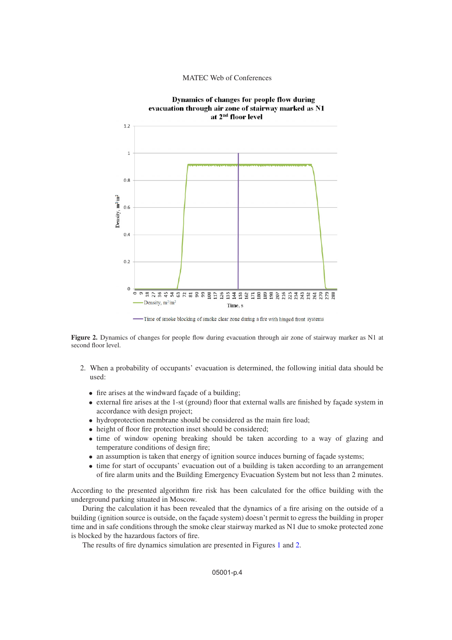#### MATEC Web of Conferences

<span id="page-3-0"></span>

-Time of smoke blocking of smoke clear zone during a fire with hinged front systems

**Figure 2.** Dynamics of changes for people flow during evacuation through air zone of stairway marker as N1 at second floor level.

- 2. When a probability of occupants' evacuation is determined, the following initial data should be used:
	- fire arises at the windward façade of a building;
	- external fire arises at the 1-st (ground) floor that external walls are finished by façade system in accordance with design project;
	- hydroprotection membrane should be considered as the main fire load;
	- height of floor fire protection inset should be considered;
	- time of window opening breaking should be taken according to a way of glazing and temperature conditions of design fire;
	- an assumption is taken that energy of ignition source induces burning of façade systems;
	- time for start of occupants' evacuation out of a building is taken according to an arrangement of fire alarm units and the Building Emergency Evacuation System but not less than 2 minutes.

According to the presented algorithm fire risk has been calculated for the office building with the underground parking situated in Moscow.

During the calculation it has been revealed that the dynamics of a fire arising on the outside of a building (ignition source is outside, on the façade system) doesn't permit to egress the building in proper time and in safe conditions through the smoke clear stairway marked as N1 due to smoke protected zone is blocked by the hazardous factors of fire.

The results of fire dynamics simulation are presented in Figures [1](#page-2-0) and [2.](#page-3-0)